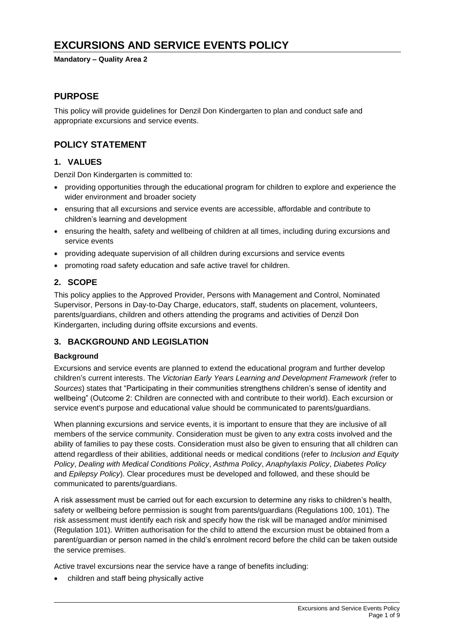# **EXCURSIONS AND SERVICE EVENTS POLICY**

#### **Mandatory – Quality Area 2**

## **PURPOSE**

This policy will provide guidelines for Denzil Don Kindergarten to plan and conduct safe and appropriate excursions and service events.

## **POLICY STATEMENT**

### **1. VALUES**

Denzil Don Kindergarten is committed to:

- providing opportunities through the educational program for children to explore and experience the wider environment and broader society
- ensuring that all excursions and service events are accessible, affordable and contribute to children's learning and development
- ensuring the health, safety and wellbeing of children at all times, including during excursions and service events
- providing adequate supervision of all children during excursions and service events
- promoting road safety education and safe active travel for children.

### **2. SCOPE**

This policy applies to the Approved Provider, Persons with Management and Control, Nominated Supervisor, Persons in Day-to-Day Charge, educators, staff, students on placement, volunteers, parents/guardians, children and others attending the programs and activities of Denzil Don Kindergarten, including during offsite excursions and events.

## **3. BACKGROUND AND LEGISLATION**

#### **Background**

Excursions and service events are planned to extend the educational program and further develop children's current interests. The *Victorian Early Years Learning and Development Framework (*refer to *Sources*) states that "Participating in their communities strengthens children's sense of identity and wellbeing" (Outcome 2: Children are connected with and contribute to their world). Each excursion or service event's purpose and educational value should be communicated to parents/guardians.

When planning excursions and service events, it is important to ensure that they are inclusive of all members of the service community. Consideration must be given to any extra costs involved and the ability of families to pay these costs. Consideration must also be given to ensuring that all children can attend regardless of their abilities, additional needs or medical conditions (refer to *Inclusion and Equity Policy*, *Dealing with Medical Conditions Policy*, *Asthma Policy*, *Anaphylaxis Policy*, *Diabetes Policy*  and *Epilepsy Policy*). Clear procedures must be developed and followed, and these should be communicated to parents/guardians.

A risk assessment must be carried out for each excursion to determine any risks to children's health, safety or wellbeing before permission is sought from parents/guardians (Regulations 100, 101). The risk assessment must identify each risk and specify how the risk will be managed and/or minimised (Regulation 101). Written authorisation for the child to attend the excursion must be obtained from a parent/guardian or person named in the child's enrolment record before the child can be taken outside the service premises.

Active travel excursions near the service have a range of benefits including:

• children and staff being physically active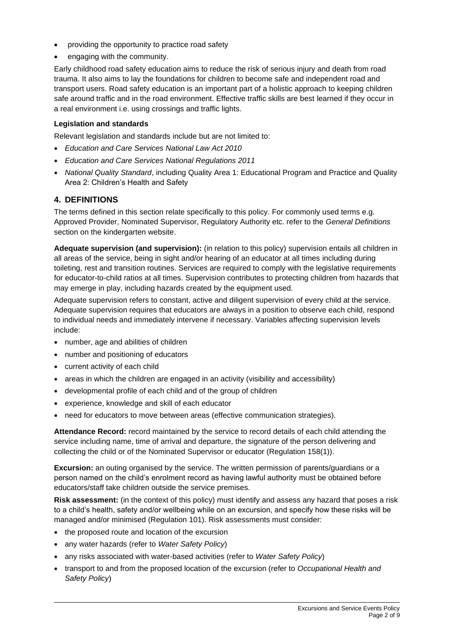- providing the opportunity to practice road safety
- engaging with the community.

Early childhood road safety education aims to reduce the risk of serious injury and death from road trauma. It also aims to lay the foundations for children to become safe and independent road and transport users. Road safety education is an important part of a holistic approach to keeping children safe around traffic and in the road environment. Effective traffic skills are best learned if they occur in a real environment i.e. using crossings and traffic lights.

#### **Legislation and standards**

Relevant legislation and standards include but are not limited to:

- *Education and Care Services National Law Act 2010*
- *Education and Care Services National Regulations 2011*
- *National Quality Standard*, including Quality Area 1: Educational Program and Practice and Quality Area 2: Children's Health and Safety

### **4. DEFINITIONS**

The terms defined in this section relate specifically to this policy. For commonly used terms e.g. Approved Provider, Nominated Supervisor, Regulatory Authority etc. refer to the *General Definitions* section on the kindergarten website.

**Adequate supervision (and supervision):** (in relation to this policy) supervision entails all children in all areas of the service, being in sight and/or hearing of an educator at all times including during toileting, rest and transition routines. Services are required to comply with the legislative requirements for educator-to-child ratios at all times. Supervision contributes to protecting children from hazards that may emerge in play, including hazards created by the equipment used.

Adequate supervision refers to constant, active and diligent supervision of every child at the service. Adequate supervision requires that educators are always in a position to observe each child, respond to individual needs and immediately intervene if necessary. Variables affecting supervision levels include:

- number, age and abilities of children
- number and positioning of educators
- current activity of each child
- areas in which the children are engaged in an activity (visibility and accessibility)
- developmental profile of each child and of the group of children
- experience, knowledge and skill of each educator
- need for educators to move between areas (effective communication strategies).

**Attendance Record:** record maintained by the service to record details of each child attending the service including name, time of arrival and departure, the signature of the person delivering and collecting the child or of the Nominated Supervisor or educator (Regulation 158(1)).

**Excursion:** an outing organised by the service. The written permission of parents/guardians or a person named on the child's enrolment record as having lawful authority must be obtained before educators/staff take children outside the service premises.

**Risk assessment:** (in the context of this policy) must identify and assess any hazard that poses a risk to a child's health, safety and/or wellbeing while on an excursion, and specify how these risks will be managed and/or minimised (Regulation 101). Risk assessments must consider:

- the proposed route and location of the excursion
- any water hazards (refer to *Water Safety Policy*)
- any risks associated with water-based activities (refer to *Water Safety Policy*)
- transport to and from the proposed location of the excursion (refer to *Occupational Health and Safety Policy*)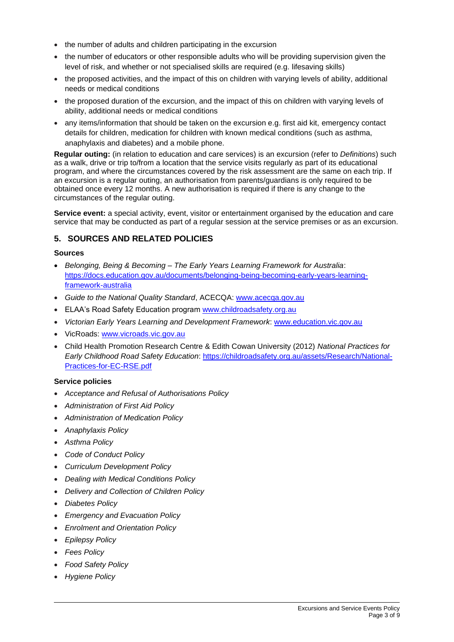- the number of adults and children participating in the excursion
- the number of educators or other responsible adults who will be providing supervision given the level of risk, and whether or not specialised skills are required (e.g. lifesaving skills)
- the proposed activities, and the impact of this on children with varying levels of ability, additional needs or medical conditions
- the proposed duration of the excursion, and the impact of this on children with varying levels of ability, additional needs or medical conditions
- any items/information that should be taken on the excursion e.g. first aid kit, emergency contact details for children, medication for children with known medical conditions (such as asthma, anaphylaxis and diabetes) and a mobile phone.

**Regular outing:** (in relation to education and care services) is an excursion (refer to *Definitions*) such as a walk, drive or trip to/from a location that the service visits regularly as part of its educational program, and where the circumstances covered by the risk assessment are the same on each trip. If an excursion is a regular outing, an authorisation from parents/guardians is only required to be obtained once every 12 months. A new authorisation is required if there is any change to the circumstances of the regular outing.

**Service event:** a special activity, event, visitor or entertainment organised by the education and care service that may be conducted as part of a regular session at the service premises or as an excursion.

## **5. SOURCES AND RELATED POLICIES**

#### **Sources**

- *Belonging, Being & Becoming – The Early Years Learning Framework for Australia*: [https://docs.education.gov.au/documents/belonging-being-becoming-early-years-learning](https://docs.education.gov.au/documents/belonging-being-becoming-early-years-learning-framework-australia)[framework-australia](https://docs.education.gov.au/documents/belonging-being-becoming-early-years-learning-framework-australia)
- *Guide to the National Quality Standard*, ACECQA: [www.acecqa.gov.au](http://www.acecqa.gov.au/)
- ELAA's Road Safety Education program [www.childroadsafety.org.au](http://childroadsafety.org.au/)
- *Victorian Early Years Learning and Development Framework*: [www.education.vic.gov.au](http://www.education.vic.gov.au/Pages/default.aspx)
- VicRoads: [www.vicroads.vic.gov.au](http://www.vicroads.vic.gov.au/)
- Child Health Promotion Research Centre & Edith Cowan University (2012) *National Practices for Early Childhood Road Safety Education*: [https://childroadsafety.org.au/assets/Research/National-](https://childroadsafety.org.au/assets/Research/National-Practices-for-EC-RSE.pdf)[Practices-for-EC-RSE.pdf](https://childroadsafety.org.au/assets/Research/National-Practices-for-EC-RSE.pdf)

#### **Service policies**

- *Acceptance and Refusal of Authorisations Policy*
- *Administration of First Aid Policy*
- *Administration of Medication Policy*
- *Anaphylaxis Policy*
- *Asthma Policy*
- *Code of Conduct Policy*
- *Curriculum Development Policy*
- *Dealing with Medical Conditions Policy*
- *Delivery and Collection of Children Policy*
- *Diabetes Policy*
- *Emergency and Evacuation Policy*
- *Enrolment and Orientation Policy*
- *Epilepsy Policy*
- *Fees Policy*
- *Food Safety Policy*
- *Hygiene Policy*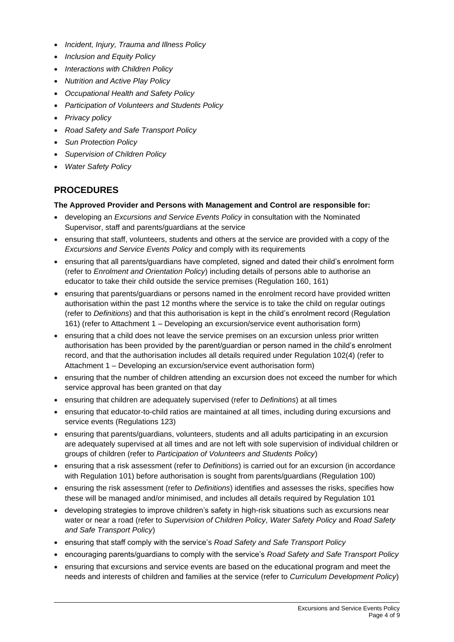- *Incident, Injury, Trauma and Illness Policy*
- *Inclusion and Equity Policy*
- *Interactions with Children Policy*
- *Nutrition and Active Play Policy*
- *Occupational Health and Safety Policy*
- *Participation of Volunteers and Students Policy*
- *Privacy policy*
- *Road Safety and Safe Transport Policy*
- *Sun Protection Policy*
- *Supervision of Children Policy*
- *Water Safety Policy*

## **PROCEDURES**

#### **The Approved Provider and Persons with Management and Control are responsible for:**

- developing an *Excursions and Service Events Policy* in consultation with the Nominated Supervisor, staff and parents/guardians at the service
- ensuring that staff, volunteers, students and others at the service are provided with a copy of the *Excursions and Service Events Policy* and comply with its requirements
- ensuring that all parents/guardians have completed, signed and dated their child's enrolment form (refer to *Enrolment and Orientation Policy*) including details of persons able to authorise an educator to take their child outside the service premises (Regulation 160, 161)
- ensuring that parents/guardians or persons named in the enrolment record have provided written authorisation within the past 12 months where the service is to take the child on regular outings (refer to *Definitions*) and that this authorisation is kept in the child's enrolment record (Regulation 161) (refer to Attachment 1 – Developing an excursion/service event authorisation form)
- ensuring that a child does not leave the service premises on an excursion unless prior written authorisation has been provided by the parent/guardian or person named in the child's enrolment record, and that the authorisation includes all details required under Regulation 102(4) (refer to Attachment 1 – Developing an excursion/service event authorisation form)
- ensuring that the number of children attending an excursion does not exceed the number for which service approval has been granted on that day
- ensuring that children are adequately supervised (refer to *Definitions*) at all times
- ensuring that educator-to-child ratios are maintained at all times, including during excursions and service events (Regulations 123)
- ensuring that parents/guardians, volunteers, students and all adults participating in an excursion are adequately supervised at all times and are not left with sole supervision of individual children or groups of children (refer to *Participation of Volunteers and Students Policy*)
- ensuring that a risk assessment (refer to *Definitions*) is carried out for an excursion (in accordance with Regulation 101) before authorisation is sought from parents/guardians (Regulation 100)
- ensuring the risk assessment (refer to *Definitions*) identifies and assesses the risks, specifies how these will be managed and/or minimised, and includes all details required by Regulation 101
- developing strategies to improve children's safety in high-risk situations such as excursions near water or near a road (refer to *Supervision of Children Policy*, *Water Safety Policy* and *Road Safety and Safe Transport Policy*)
- ensuring that staff comply with the service's *Road Safety and Safe Transport Policy*
- encouraging parents/guardians to comply with the service's *Road Safety and Safe Transport Policy*
- ensuring that excursions and service events are based on the educational program and meet the needs and interests of children and families at the service (refer to *Curriculum Development Policy*)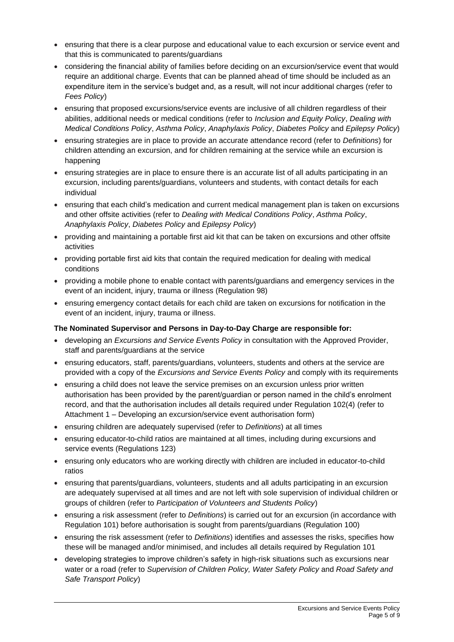- ensuring that there is a clear purpose and educational value to each excursion or service event and that this is communicated to parents/guardians
- considering the financial ability of families before deciding on an excursion/service event that would require an additional charge. Events that can be planned ahead of time should be included as an expenditure item in the service's budget and, as a result, will not incur additional charges (refer to *Fees Policy*)
- ensuring that proposed excursions/service events are inclusive of all children regardless of their abilities, additional needs or medical conditions (refer to *Inclusion and Equity Policy*, *Dealing with Medical Conditions Policy*, *Asthma Policy*, *Anaphylaxis Policy*, *Diabetes Policy* and *Epilepsy Policy*)
- ensuring strategies are in place to provide an accurate attendance record (refer to *Definitions*) for children attending an excursion, and for children remaining at the service while an excursion is happening
- ensuring strategies are in place to ensure there is an accurate list of all adults participating in an excursion, including parents/guardians, volunteers and students, with contact details for each individual
- ensuring that each child's medication and current medical management plan is taken on excursions and other offsite activities (refer to *Dealing with Medical Conditions Policy*, *Asthma Policy*, *Anaphylaxis Policy*, *Diabetes Policy* and *Epilepsy Policy*)
- providing and maintaining a portable first aid kit that can be taken on excursions and other offsite activities
- providing portable first aid kits that contain the required medication for dealing with medical conditions
- providing a mobile phone to enable contact with parents/guardians and emergency services in the event of an incident, injury, trauma or illness (Regulation 98)
- ensuring emergency contact details for each child are taken on excursions for notification in the event of an incident, injury, trauma or illness.

### **The Nominated Supervisor and Persons in Day-to-Day Charge are responsible for:**

- developing an *Excursions and Service Events Policy* in consultation with the Approved Provider, staff and parents/guardians at the service
- ensuring educators, staff, parents/guardians, volunteers, students and others at the service are provided with a copy of the *Excursions and Service Events Policy* and comply with its requirements
- ensuring a child does not leave the service premises on an excursion unless prior written authorisation has been provided by the parent/guardian or person named in the child's enrolment record, and that the authorisation includes all details required under Regulation 102(4) (refer to Attachment 1 – Developing an excursion/service event authorisation form)
- ensuring children are adequately supervised (refer to *Definitions*) at all times
- ensuring educator-to-child ratios are maintained at all times, including during excursions and service events (Regulations 123)
- ensuring only educators who are working directly with children are included in educator-to-child ratios
- ensuring that parents/guardians, volunteers, students and all adults participating in an excursion are adequately supervised at all times and are not left with sole supervision of individual children or groups of children (refer to *Participation of Volunteers and Students Policy*)
- ensuring a risk assessment (refer to *Definitions*) is carried out for an excursion (in accordance with Regulation 101) before authorisation is sought from parents/guardians (Regulation 100)
- ensuring the risk assessment (refer to *Definitions*) identifies and assesses the risks, specifies how these will be managed and/or minimised, and includes all details required by Regulation 101
- developing strategies to improve children's safety in high-risk situations such as excursions near water or a road (refer to *Supervision of Children Policy, Water Safety Policy* and *Road Safety and Safe Transport Policy*)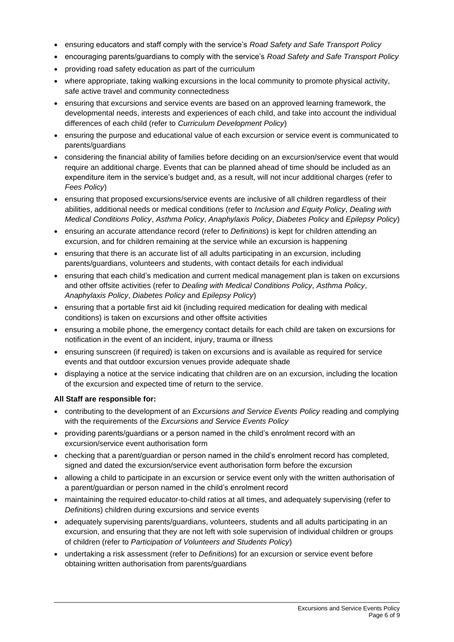- ensuring educators and staff comply with the service's *Road Safety and Safe Transport Policy*
- encouraging parents/guardians to comply with the service's *Road Safety and Safe Transport Policy*
- providing road safety education as part of the curriculum
- where appropriate, taking walking excursions in the local community to promote physical activity, safe active travel and community connectedness
- ensuring that excursions and service events are based on an approved learning framework, the developmental needs, interests and experiences of each child, and take into account the individual differences of each child (refer to *Curriculum Development Policy*)
- ensuring the purpose and educational value of each excursion or service event is communicated to parents/guardians
- considering the financial ability of families before deciding on an excursion/service event that would require an additional charge. Events that can be planned ahead of time should be included as an expenditure item in the service's budget and, as a result, will not incur additional charges (refer to *Fees Policy*)
- ensuring that proposed excursions/service events are inclusive of all children regardless of their abilities, additional needs or medical conditions (refer to *Inclusion and Equity Policy*, *Dealing with Medical Conditions Policy*, *Asthma Policy*, *Anaphylaxis Policy*, *Diabetes Policy* and *Epilepsy Policy*)
- ensuring an accurate attendance record (refer to *Definitions*) is kept for children attending an excursion, and for children remaining at the service while an excursion is happening
- ensuring that there is an accurate list of all adults participating in an excursion, including parents/guardians, volunteers and students, with contact details for each individual
- ensuring that each child's medication and current medical management plan is taken on excursions and other offsite activities (refer to *Dealing with Medical Conditions Policy, Asthma Policy*, *Anaphylaxis Policy*, *Diabetes Policy* and *Epilepsy Policy*)
- ensuring that a portable first aid kit (including required medication for dealing with medical conditions) is taken on excursions and other offsite activities
- ensuring a mobile phone, the emergency contact details for each child are taken on excursions for notification in the event of an incident, injury, trauma or illness
- ensuring sunscreen (if required) is taken on excursions and is available as required for service events and that outdoor excursion venues provide adequate shade
- displaying a notice at the service indicating that children are on an excursion, including the location of the excursion and expected time of return to the service.

#### **All Staff are responsible for:**

- contributing to the development of an *Excursions and Service Events Policy* reading and complying with the requirements of the *Excursions and Service Events Policy*
- providing parents/guardians or a person named in the child's enrolment record with an excursion/service event authorisation form
- checking that a parent/guardian or person named in the child's enrolment record has completed, signed and dated the excursion/service event authorisation form before the excursion
- allowing a child to participate in an excursion or service event only with the written authorisation of a parent/guardian or person named in the child's enrolment record
- maintaining the required educator-to-child ratios at all times, and adequately supervising (refer to *Definitions*) children during excursions and service events
- adequately supervising parents/guardians, volunteers, students and all adults participating in an excursion, and ensuring that they are not left with sole supervision of individual children or groups of children (refer to *Participation of Volunteers and Students Policy*)
- undertaking a risk assessment (refer to *Definitions*) for an excursion or service event before obtaining written authorisation from parents/guardians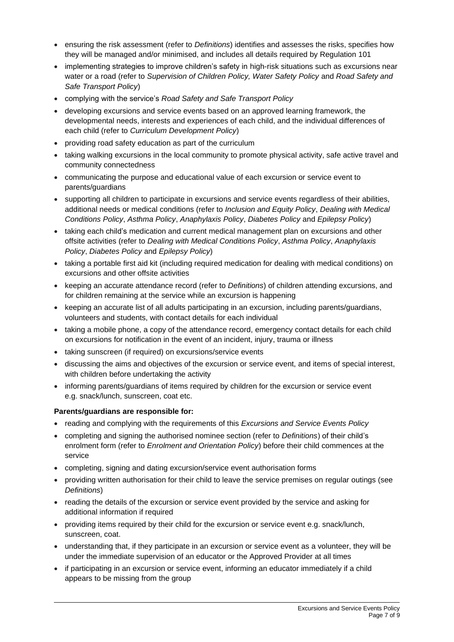- ensuring the risk assessment (refer to *Definitions*) identifies and assesses the risks, specifies how they will be managed and/or minimised, and includes all details required by Regulation 101
- implementing strategies to improve children's safety in high-risk situations such as excursions near water or a road (refer to *Supervision of Children Policy, Water Safety Policy* and *Road Safety and Safe Transport Policy*)
- complying with the service's *Road Safety and Safe Transport Policy*
- developing excursions and service events based on an approved learning framework, the developmental needs, interests and experiences of each child, and the individual differences of each child (refer to *Curriculum Development Policy*)
- providing road safety education as part of the curriculum
- taking walking excursions in the local community to promote physical activity, safe active travel and community connectedness
- communicating the purpose and educational value of each excursion or service event to parents/guardians
- supporting all children to participate in excursions and service events regardless of their abilities, additional needs or medical conditions (refer to *Inclusion and Equity Policy*, *Dealing with Medical Conditions Policy*, *Asthma Policy*, *Anaphylaxis Policy*, *Diabetes Policy* and *Epilepsy Policy*)
- taking each child's medication and current medical management plan on excursions and other offsite activities (refer to *Dealing with Medical Conditions Policy*, *Asthma Policy*, *Anaphylaxis Policy*, *Diabetes Policy* and *Epilepsy Policy*)
- taking a portable first aid kit (including required medication for dealing with medical conditions) on excursions and other offsite activities
- keeping an accurate attendance record (refer to *Definitions*) of children attending excursions, and for children remaining at the service while an excursion is happening
- keeping an accurate list of all adults participating in an excursion, including parents/guardians, volunteers and students, with contact details for each individual
- taking a mobile phone, a copy of the attendance record, emergency contact details for each child on excursions for notification in the event of an incident, injury, trauma or illness
- taking sunscreen (if required) on excursions/service events
- discussing the aims and objectives of the excursion or service event, and items of special interest, with children before undertaking the activity
- informing parents/guardians of items required by children for the excursion or service event e.g. snack/lunch, sunscreen, coat etc.

### **Parents/guardians are responsible for:**

- reading and complying with the requirements of this *Excursions and Service Events Policy*
- completing and signing the authorised nominee section (refer to *Definitions*) of their child's enrolment form (refer to *Enrolment and Orientation Policy*) before their child commences at the service
- completing, signing and dating excursion/service event authorisation forms
- providing written authorisation for their child to leave the service premises on regular outings (see *Definitions*)
- reading the details of the excursion or service event provided by the service and asking for additional information if required
- providing items required by their child for the excursion or service event e.g. snack/lunch, sunscreen, coat.
- understanding that, if they participate in an excursion or service event as a volunteer, they will be under the immediate supervision of an educator or the Approved Provider at all times
- if participating in an excursion or service event, informing an educator immediately if a child appears to be missing from the group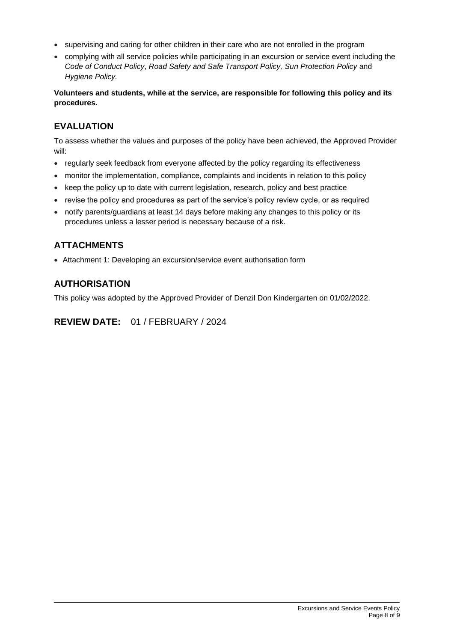- supervising and caring for other children in their care who are not enrolled in the program
- complying with all service policies while participating in an excursion or service event including the *Code of Conduct Policy*, *Road Safety and Safe Transport Policy, Sun Protection Policy* and *Hygiene Policy.*

**Volunteers and students, while at the service, are responsible for following this policy and its procedures.**

## **EVALUATION**

To assess whether the values and purposes of the policy have been achieved, the Approved Provider will:

- regularly seek feedback from everyone affected by the policy regarding its effectiveness
- monitor the implementation, compliance, complaints and incidents in relation to this policy
- keep the policy up to date with current legislation, research, policy and best practice
- revise the policy and procedures as part of the service's policy review cycle, or as required
- notify parents/guardians at least 14 days before making any changes to this policy or its procedures unless a lesser period is necessary because of a risk.

## **ATTACHMENTS**

• Attachment 1: Developing an excursion/service event authorisation form

## **AUTHORISATION**

This policy was adopted by the Approved Provider of Denzil Don Kindergarten on 01/02/2022.

**REVIEW DATE:** 01 / FEBRUARY / 2024